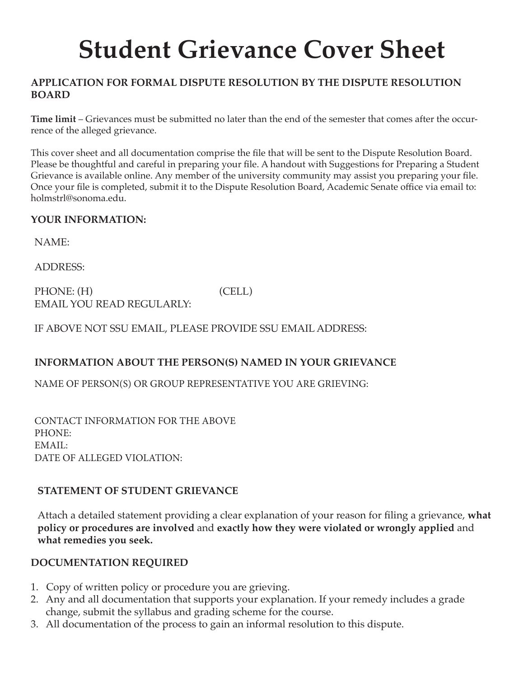# **Student Grievance Cover Sheet**

## **APPLICATION FOR FORMAL DISPUTE RESOLUTION BY THE DISPUTE RESOLUTION BOARD**

**Time limit** – Grievances must be submitted no later than the end of the semester that comes after the occurrence of the alleged grievance.

This cover sheet and all documentation comprise the file that will be sent to the Dispute Resolution Board. Please be thoughtful and careful in preparing your file. A handout with Suggestions for Preparing a Student Grievance is available online. Any member of the university community may assist you preparing your file. Once your file is completed, submit it to the Dispute Resolution Board, Academic Senate office via email to: holmstrl@sonoma.edu.

## **YOUR INFORMATION:**

NAME:

ADDRESS:

PHONE: (H) (CELL) EMAIL YOU READ REGULARLY:

IF ABOVE NOT SSU EMAIL, PLEASE PROVIDE SSU EMAIL ADDRESS:

## **INFORMATION ABOUT THE PERSON(S) NAMED IN YOUR GRIEVANCE**

NAME OF PERSON(S) OR GROUP REPRESENTATIVE YOU ARE GRIEVING:

CONTACT INFORMATION FOR THE ABOVE PHONE: EMAIL: DATE OF ALLEGED VIOLATION:

## **STATEMENT OF STUDENT GRIEVANCE**

Attach a detailed statement providing a clear explanation of your reason for filing a grievance, **what policy or procedures are involved** and **exactly how they were violated or wrongly applied** and **what remedies you seek.** 

## **DOCUMENTATION REQUIRED**

- 1. Copy of written policy or procedure you are grieving.
- 2. Any and all documentation that supports your explanation. If your remedy includes a grade change, submit the syllabus and grading scheme for the course.
- 3. All documentation of the process to gain an informal resolution to this dispute.